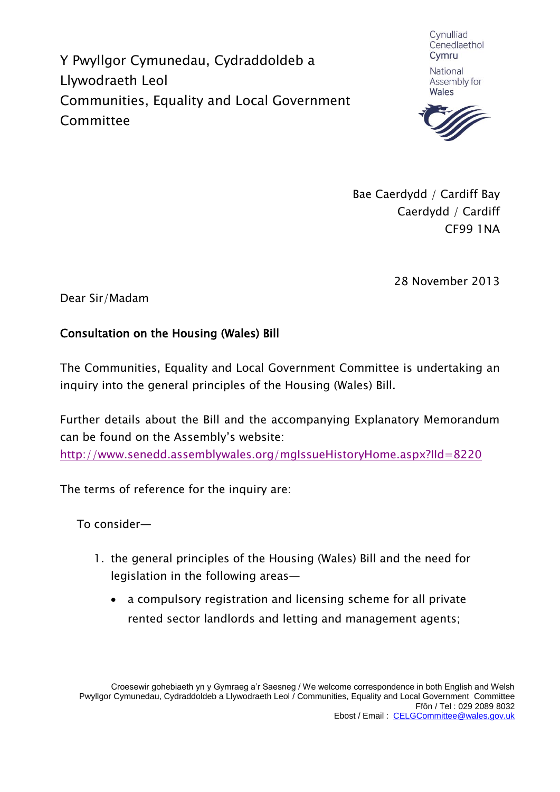Y Pwyllgor Cymunedau, Cydraddoldeb a Llywodraeth Leol Communities, Equality and Local Government Committee

Cynulliad Cenedlaethol Cymru

National Assembly for Wales



Bae Caerdydd / Cardiff Bay Caerdydd / Cardiff CF99 1NA

28 November 2013

Dear Sir/Madam

### Consultation on the Housing (Wales) Bill

The Communities, Equality and Local Government Committee is undertaking an inquiry into the general principles of the Housing (Wales) Bill.

Further details about the Bill and the accompanying Explanatory Memorandum can be found on the Assembly's website:

<http://www.senedd.assemblywales.org/mgIssueHistoryHome.aspx?IId=8220>

The terms of reference for the inquiry are:

To consider—

- 1. the general principles of the Housing (Wales) Bill and the need for legislation in the following areas
	- a compulsory registration and licensing scheme for all private rented sector landlords and letting and management agents;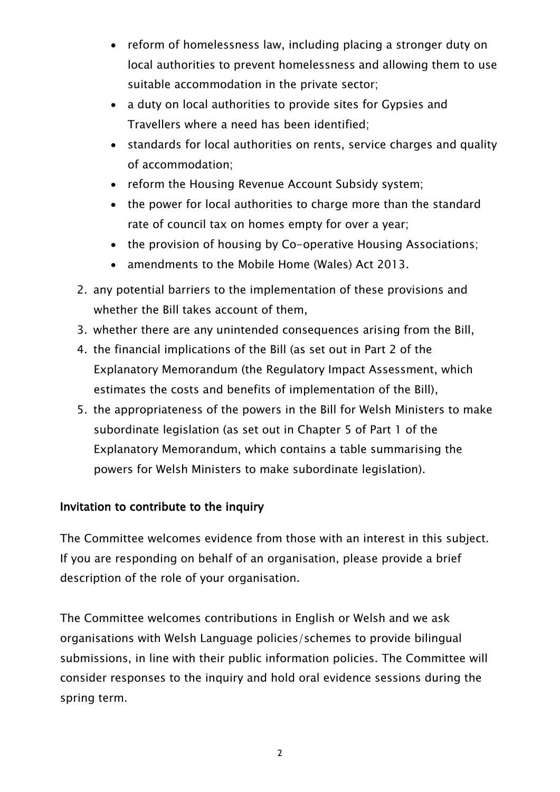- reform of homelessness law, including placing a stronger duty on local authorities to prevent homelessness and allowing them to use suitable accommodation in the private sector;
- a duty on local authorities to provide sites for Gypsies and Travellers where a need has been identified;
- standards for local authorities on rents, service charges and quality of accommodation;
- reform the Housing Revenue Account Subsidy system;
- the power for local authorities to charge more than the standard rate of council tax on homes empty for over a year;
- the provision of housing by Co-operative Housing Associations;
- amendments to the Mobile Home (Wales) Act 2013.
- 2. any potential barriers to the implementation of these provisions and whether the Bill takes account of them,
- 3. whether there are any unintended consequences arising from the Bill,
- 4. the financial implications of the Bill (as set out in Part 2 of the Explanatory Memorandum (the Regulatory Impact Assessment, which estimates the costs and benefits of implementation of the Bill),
- 5. the appropriateness of the powers in the Bill for Welsh Ministers to make subordinate legislation (as set out in Chapter 5 of Part 1 of the Explanatory Memorandum, which contains a table summarising the powers for Welsh Ministers to make subordinate legislation).

# Invitation to contribute to the inquiry

The Committee welcomes evidence from those with an interest in this subject. If you are responding on behalf of an organisation, please provide a brief description of the role of your organisation.

The Committee welcomes contributions in English or Welsh and we ask organisations with Welsh Language policies/schemes to provide bilingual submissions, in line with their public information policies. The Committee will consider responses to the inquiry and hold oral evidence sessions during the spring term.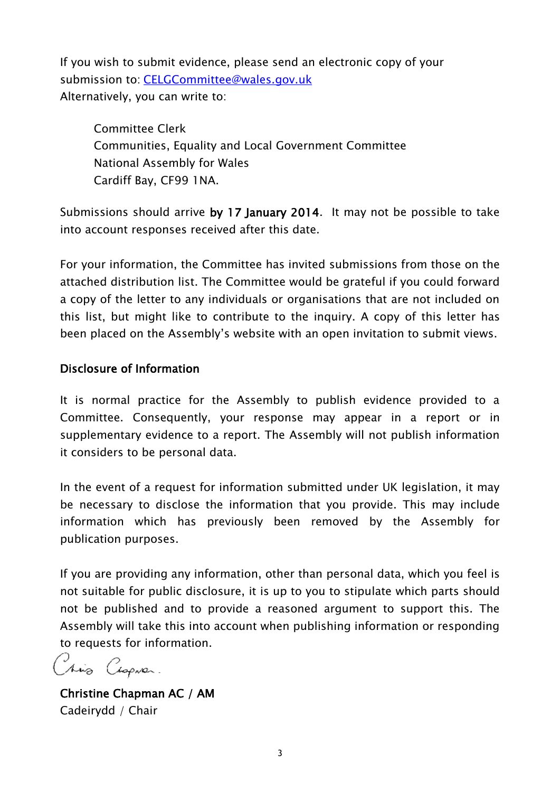If you wish to submit evidence, please send an electronic copy of your submission to: [CELGCommittee@wales.gov.uk](mailto:CELGCommittee@wales.gov.uk) Alternatively, you can write to:

Committee Clerk Communities, Equality and Local Government Committee National Assembly for Wales Cardiff Bay, CF99 1NA.

Submissions should arrive by 17 January 2014. It may not be possible to take into account responses received after this date.

For your information, the Committee has invited submissions from those on the attached distribution list. The Committee would be grateful if you could forward a copy of the letter to any individuals or organisations that are not included on this list, but might like to contribute to the inquiry. A copy of this letter has been placed on the Assembly's website with an open invitation to submit views.

#### Disclosure of Information

It is normal practice for the Assembly to publish evidence provided to a Committee. Consequently, your response may appear in a report or in supplementary evidence to a report. The Assembly will not publish information it considers to be personal data.

In the event of a request for information submitted under UK legislation, it may be necessary to disclose the information that you provide. This may include information which has previously been removed by the Assembly for publication purposes.

If you are providing any information, other than personal data, which you feel is not suitable for public disclosure, it is up to you to stipulate which parts should not be published and to provide a reasoned argument to support this. The Assembly will take this into account when publishing information or responding to requests for information.

Très Cesprer.

Christine Chapman AC / AM Cadeirydd / Chair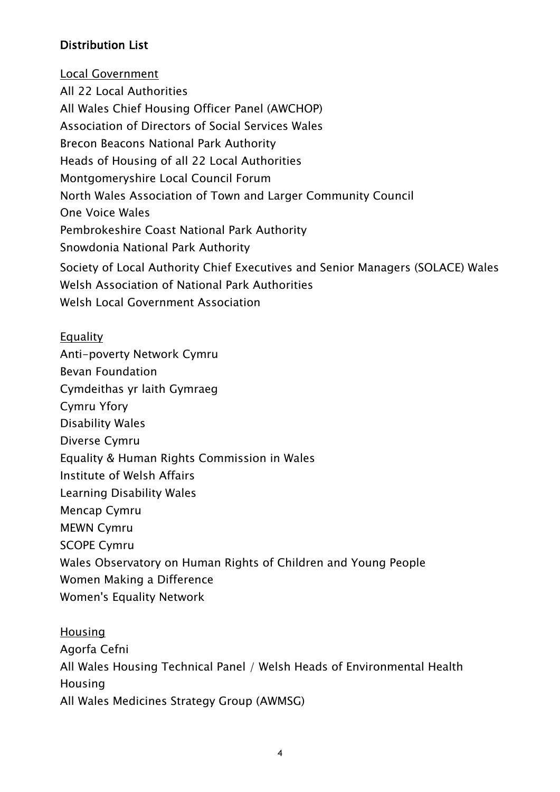## Distribution List

Local Government All 22 Local Authorities All Wales Chief Housing Officer Panel (AWCHOP) Association of Directors of Social Services Wales Brecon Beacons National Park Authority Heads of Housing of all 22 Local Authorities Montgomeryshire Local Council Forum North Wales Association of Town and Larger Community Council One Voice Wales Pembrokeshire Coast National Park Authority Snowdonia National Park Authority Society of Local Authority Chief Executives and Senior Managers (SOLACE) Wales Welsh Association of National Park Authorities Welsh Local Government Association

#### Equality

Anti-poverty Network Cymru Bevan Foundation Cymdeithas yr laith Gymraeg Cymru Yfory Disability Wales Diverse Cymru Equality & Human Rights Commission in Wales Institute of Welsh Affairs Learning Disability Wales Mencap Cymru MEWN Cymru SCOPE Cymru Wales Observatory on Human Rights of Children and Young People Women Making a Difference Women's Equality Network

**Housing** Agorfa Cefni All Wales Housing Technical Panel / Welsh Heads of Environmental Health Housing All Wales Medicines Strategy Group (AWMSG)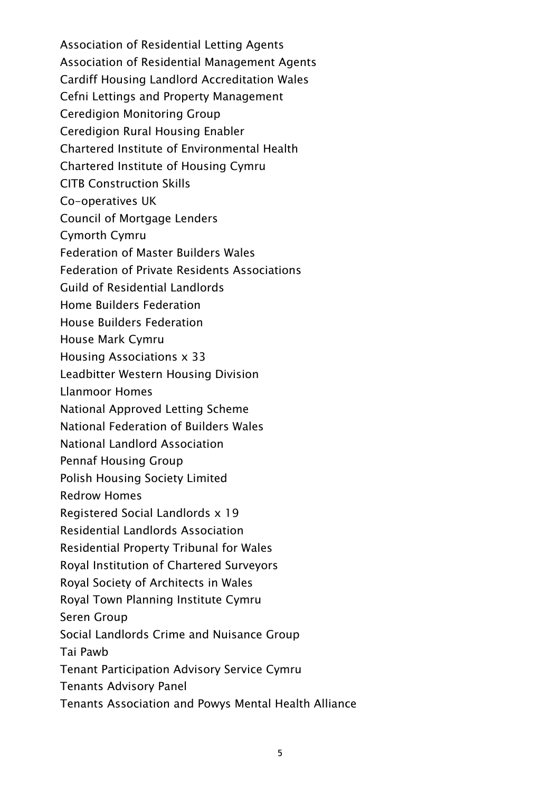Association of Residential Letting Agents Association of Residential Management Agents Cardiff Housing Landlord Accreditation Wales Cefni Lettings and Property Management Ceredigion Monitoring Group Ceredigion Rural Housing Enabler Chartered Institute of Environmental Health Chartered Institute of Housing Cymru CITB Construction Skills Co-operatives UK Council of Mortgage Lenders Cymorth Cymru Federation of Master Builders Wales Federation of Private Residents Associations Guild of Residential Landlords Home Builders Federation House Builders Federation House Mark Cymru Housing Associations x 33 Leadbitter Western Housing Division Llanmoor Homes National Approved Letting Scheme National Federation of Builders Wales National Landlord Association Pennaf Housing Group Polish Housing Society Limited Redrow Homes Registered Social Landlords x 19 Residential Landlords Association Residential Property Tribunal for Wales Royal Institution of Chartered Surveyors Royal Society of Architects in Wales Royal Town Planning Institute Cymru Seren Group Social Landlords Crime and Nuisance Group Tai Pawb Tenant Participation Advisory Service Cymru Tenants Advisory Panel Tenants Association and Powys Mental Health Alliance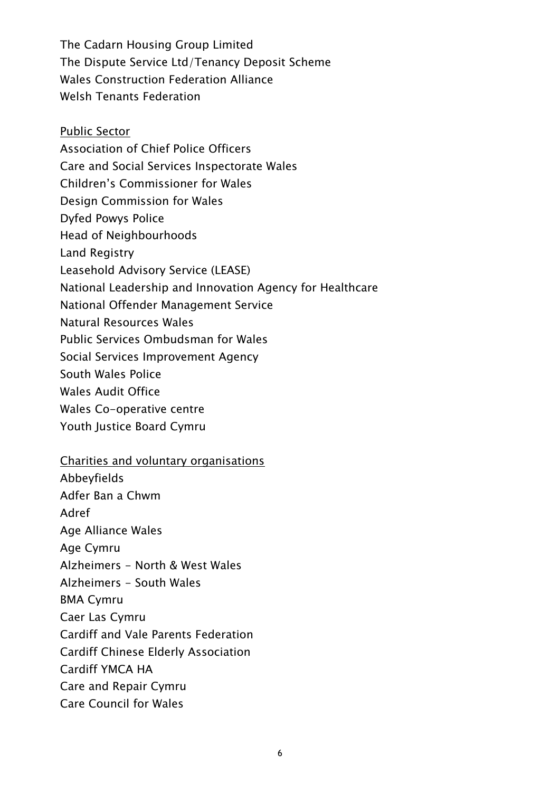The Cadarn Housing Group Limited The Dispute Service Ltd/Tenancy Deposit Scheme Wales Construction Federation Alliance Welsh Tenants Federation

- Public Sector Association of Chief Police Officers Care and Social Services Inspectorate Wales Children's Commissioner for Wales Design Commission for Wales Dyfed Powys Police Head of Neighbourhoods Land Registry Leasehold Advisory Service (LEASE) National Leadership and Innovation Agency for Healthcare National Offender Management Service Natural Resources Wales Public Services Ombudsman for Wales Social Services Improvement Agency South Wales Police Wales Audit Office Wales Co-operative centre Youth Justice Board Cymru
- Charities and voluntary organisations

Abbeyfields Adfer Ban a Chwm Adref Age Alliance Wales Age Cymru Alzheimers - North & West Wales Alzheimers - South Wales BMA Cymru Caer Las Cymru Cardiff and Vale Parents Federation Cardiff Chinese Elderly Association Cardiff YMCA HA Care and Repair Cymru Care Council for Wales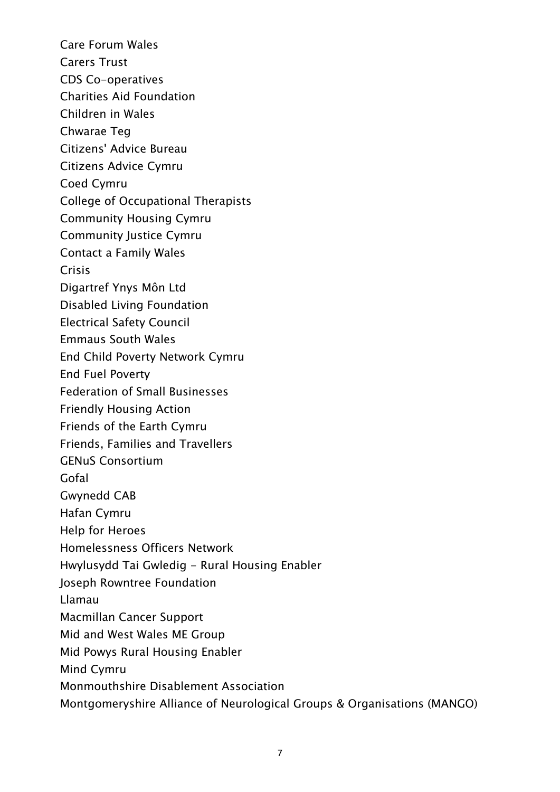Care Forum Wales Carers Trust CDS Co-operatives Charities Aid Foundation Children in Wales Chwarae Teg Citizens' Advice Bureau Citizens Advice Cymru Coed Cymru College of Occupational Therapists Community Housing Cymru Community Justice Cymru Contact a Family Wales Crisis Digartref Ynys Môn Ltd Disabled Living Foundation Electrical Safety Council Emmaus South Wales End Child Poverty Network Cymru End Fuel Poverty Federation of Small Businesses Friendly Housing Action Friends of the Earth Cymru Friends, Families and Travellers GENuS Consortium Gofal Gwynedd CAB Hafan Cymru Help for Heroes Homelessness Officers Network Hwylusydd Tai Gwledig - Rural Housing Enabler Joseph Rowntree Foundation Llamau Macmillan Cancer Support Mid and West Wales ME Group Mid Powys Rural Housing Enabler Mind Cymru Monmouthshire Disablement Association Montgomeryshire Alliance of Neurological Groups & Organisations (MANGO)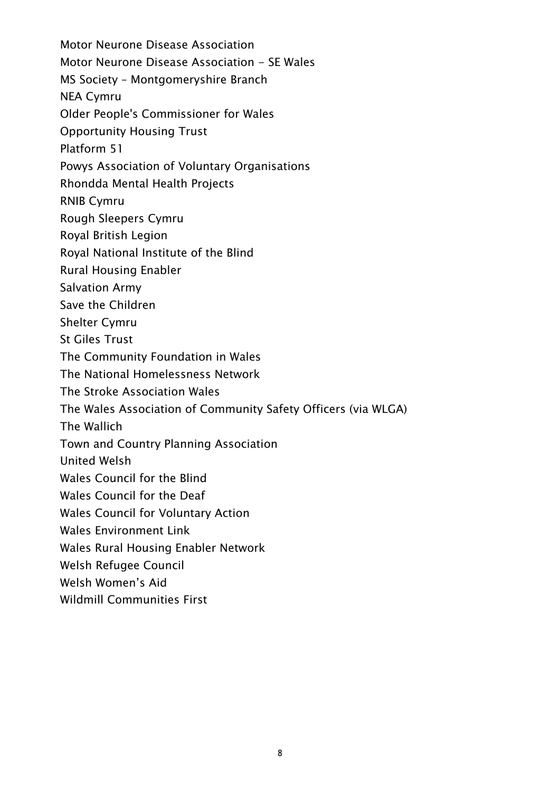Motor Neurone Disease Association Motor Neurone Disease Association - SE Wales MS Society – Montgomeryshire Branch NEA Cymru Older People's Commissioner for Wales Opportunity Housing Trust Platform 51 Powys Association of Voluntary Organisations Rhondda Mental Health Projects RNIB Cymru Rough Sleepers Cymru Royal British Legion Royal National Institute of the Blind Rural Housing Enabler Salvation Army Save the Children Shelter Cymru St Giles Trust The Community Foundation in Wales The National Homelessness Network The Stroke Association Wales The Wales Association of Community Safety Officers (via WLGA) The Wallich Town and Country Planning Association United Welsh Wales Council for the Blind Wales Council for the Deaf Wales Council for Voluntary Action Wales Environment Link Wales Rural Housing Enabler Network Welsh Refugee Council Welsh Women's Aid

Wildmill Communities First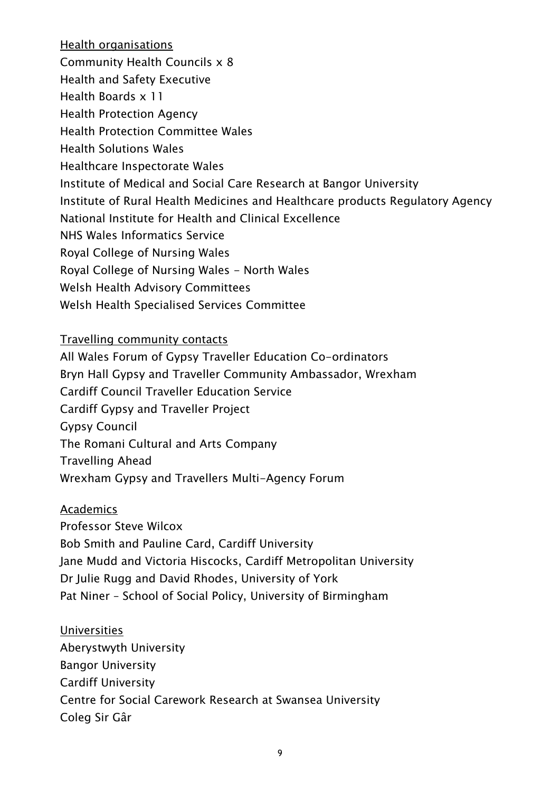Health organisations Community Health Councils x 8 Health and Safety Executive Health Boards x 11 Health Protection Agency Health Protection Committee Wales Health Solutions Wales Healthcare Inspectorate Wales Institute of Medical and Social Care Research at Bangor University Institute of Rural Health Medicines and Healthcare products Regulatory Agency National Institute for Health and Clinical Excellence NHS Wales Informatics Service Royal College of Nursing Wales Royal College of Nursing Wales - North Wales Welsh Health Advisory Committees Welsh Health Specialised Services Committee

Travelling community contacts

All Wales Forum of Gypsy Traveller Education Co-ordinators Bryn Hall Gypsy and Traveller Community Ambassador, Wrexham Cardiff Council Traveller Education Service Cardiff Gypsy and Traveller Project Gypsy Council The Romani Cultural and Arts Company Travelling Ahead Wrexham Gypsy and Travellers Multi-Agency Forum

Academics Professor Steve Wilcox Bob Smith and Pauline Card, Cardiff University Jane Mudd and Victoria Hiscocks, Cardiff Metropolitan University Dr Julie Rugg and David Rhodes, University of York Pat Niner – School of Social Policy, University of Birmingham

Universities Aberystwyth University Bangor University Cardiff University Centre for Social Carework Research at Swansea University Coleg Sir Gâr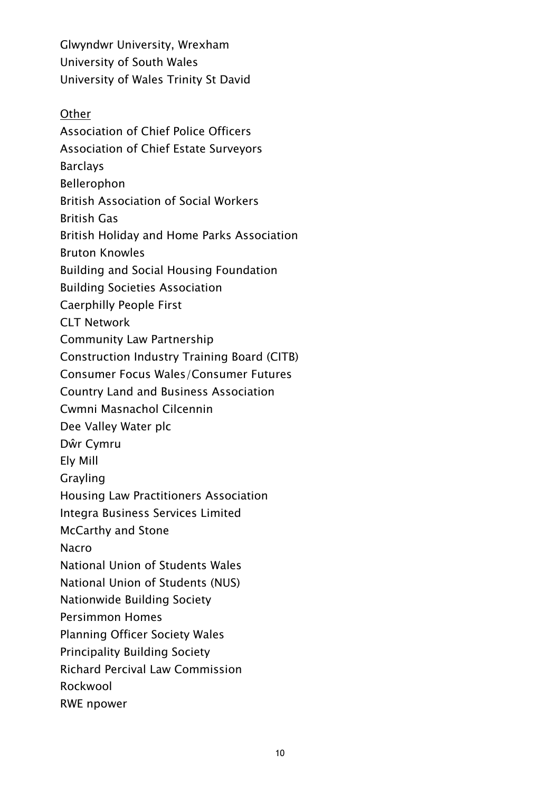Glwyndwr University, Wrexham University of South Wales University of Wales Trinity St David

**Other** Association of Chief Police Officers Association of Chief Estate Surveyors Barclays Bellerophon British Association of Social Workers British Gas British Holiday and Home Parks Association Bruton Knowles Building and Social Housing Foundation Building Societies Association Caerphilly People First CLT Network Community Law Partnership Construction Industry Training Board (CITB) Consumer Focus Wales/Consumer Futures Country Land and Business Association Cwmni Masnachol Cilcennin Dee Valley Water plc Dŵr Cymru Ely Mill Grayling Housing Law Practitioners Association Integra Business Services Limited McCarthy and Stone Nacro National Union of Students Wales National Union of Students (NUS) Nationwide Building Society Persimmon Homes Planning Officer Society Wales Principality Building Society Richard Percival Law Commission Rockwool RWE npower